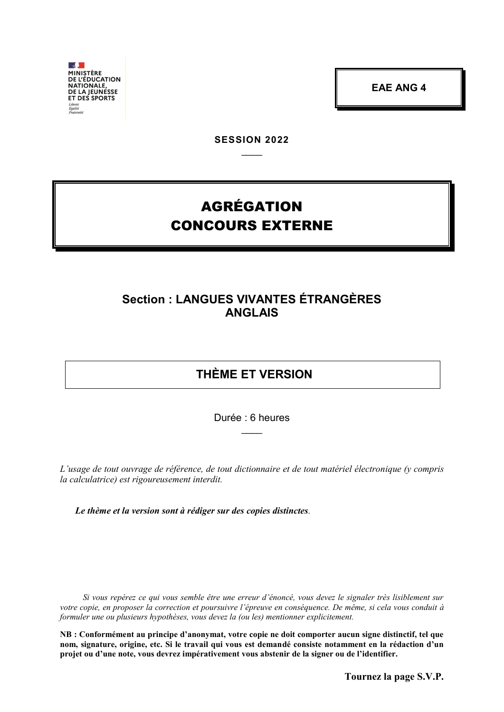$\sqrt{2}$ **MINISTÈRE**<br>DE L'ÉDUCATION **DE LEDOCATION<br>NATIONALE,<br>DE LA JEUNESSE<br>ET DES SPORTS** 

**EAE ANG 4**

**SESSION 2022**  $\overline{\phantom{a}}$ 

# AGRÉGATION CONCOURS EXTERNE

## **Section : LANGUES VIVANTES ÉTRANGÈRES ANGLAIS**

## **THÈME ET VERSION**

Durée : 6 heures  $\overline{\phantom{a}}$ 

*L'usage de tout ouvrage de référence, de tout dictionnaire et de tout matériel électronique (y compris la calculatrice) est rigoureusement interdit.*

*Le thème et la version sont à rédiger sur des copies distinctes.*

*Si vous repérez ce qui vous semble être une erreur d'énoncé, vous devez le signaler très lisiblement sur votre copie, en proposer la correction et poursuivre l'épreuve en conséquence. De même, si cela vous conduit à formuler une ou plusieurs hypothèses, vous devez la (ou les) mentionner explicitement.*

**NB : Conformément au principe d'anonymat, votre copie ne doit comporter aucun signe distinctif, tel que nom, signature, origine, etc. Si le travail qui vous est demandé consiste notamment en la rédaction d'un projet ou d'une note, vous devrez impérativement vous abstenir de la signer ou de l'identifier.**

**Tournez la page S.V.P.**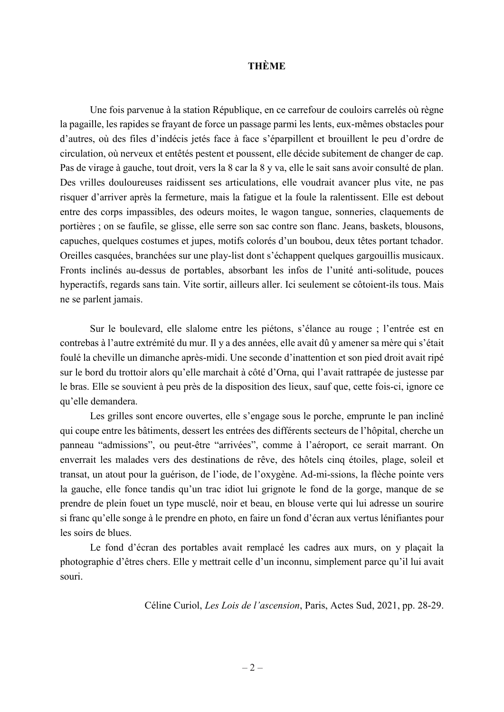#### **THÈME**

Une fois parvenue à la station République, en ce carrefour de couloirs carrelés où règne la pagaille, les rapides se frayant de force un passage parmi les lents, eux-mêmes obstacles pour d'autres, où des files d'indécis jetés face à face s'éparpillent et brouillent le peu d'ordre de circulation, où nerveux et entêtés pestent et poussent, elle décide subitement de changer de cap. Pas de virage à gauche, tout droit, vers la 8 car la 8 y va, elle le sait sans avoir consulté de plan. Des vrilles douloureuses raidissent ses articulations, elle voudrait avancer plus vite, ne pas risquer d'arriver après la fermeture, mais la fatigue et la foule la ralentissent. Elle est debout entre des corps impassibles, des odeurs moites, le wagon tangue, sonneries, claquements de portières ; on se faufile, se glisse, elle serre son sac contre son flanc. Jeans, baskets, blousons, capuches, quelques costumes et jupes, motifs colorés d'un boubou, deux têtes portant tchador. Oreilles casquées, branchées sur une play-list dont s'échappent quelques gargouillis musicaux. Fronts inclinés au-dessus de portables, absorbant les infos de l'unité anti-solitude, pouces hyperactifs, regards sans tain. Vite sortir, ailleurs aller. Ici seulement se côtoient-ils tous. Mais ne se parlent jamais.

Sur le boulevard, elle slalome entre les piétons, s'élance au rouge ; l'entrée est en contrebas à l'autre extrémité du mur. Il y a des années, elle avait dû y amener sa mère qui s'était foulé la cheville un dimanche après-midi. Une seconde d'inattention et son pied droit avait ripé sur le bord du trottoir alors qu'elle marchait à côté d'Orna, qui l'avait rattrapée de justesse par le bras. Elle se souvient à peu près de la disposition des lieux, sauf que, cette fois-ci, ignore ce qu'elle demandera.

Les grilles sont encore ouvertes, elle s'engage sous le porche, emprunte le pan incliné qui coupe entre les bâtiments, dessert les entrées des différents secteurs de l'hôpital, cherche un panneau "admissions", ou peut-être "arrivées", comme à l'aéroport, ce serait marrant. On enverrait les malades vers des destinations de rêve, des hôtels cinq étoiles, plage, soleil et transat, un atout pour la guérison, de l'iode, de l'oxygène. Ad-mi-ssions, la flèche pointe vers la gauche, elle fonce tandis qu'un trac idiot lui grignote le fond de la gorge, manque de se prendre de plein fouet un type musclé, noir et beau, en blouse verte qui lui adresse un sourire si franc qu'elle songe à le prendre en photo, en faire un fond d'écran aux vertus lénifiantes pour les soirs de blues.

Le fond d'écran des portables avait remplacé les cadres aux murs, on y plaçait la photographie d'êtres chers. Elle y mettrait celle d'un inconnu, simplement parce qu'il lui avait souri.

Céline Curiol, *Les Lois de l'ascension*, Paris, Actes Sud, 2021, pp. 28-29.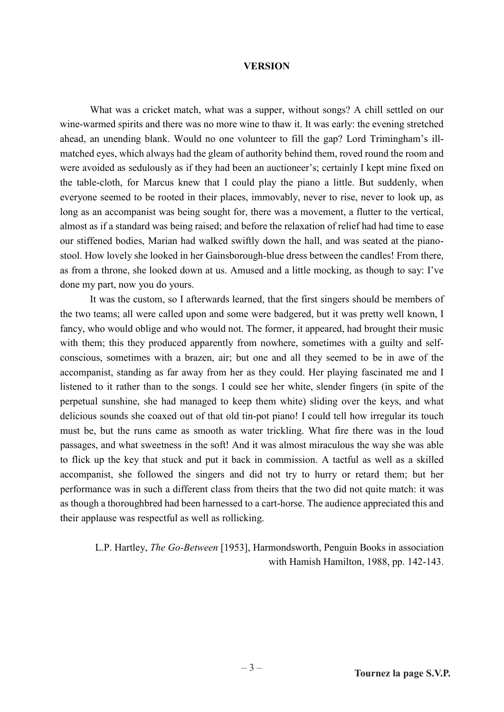#### **VERSION**

What was a cricket match, what was a supper, without songs? A chill settled on our wine-warmed spirits and there was no more wine to thaw it. It was early: the evening stretched ahead, an unending blank. Would no one volunteer to fill the gap? Lord Trimingham's illmatched eyes, which always had the gleam of authority behind them, roved round the room and were avoided as sedulously as if they had been an auctioneer's; certainly I kept mine fixed on the table-cloth, for Marcus knew that I could play the piano a little. But suddenly, when everyone seemed to be rooted in their places, immovably, never to rise, never to look up, as long as an accompanist was being sought for, there was a movement, a flutter to the vertical, almost as if a standard was being raised; and before the relaxation of relief had had time to ease our stiffened bodies, Marian had walked swiftly down the hall, and was seated at the pianostool. How lovely she looked in her Gainsborough-blue dress between the candles! From there, as from a throne, she looked down at us. Amused and a little mocking, as though to say: I've done my part, now you do yours.

It was the custom, so I afterwards learned, that the first singers should be members of the two teams; all were called upon and some were badgered, but it was pretty well known, I fancy, who would oblige and who would not. The former, it appeared, had brought their music with them; this they produced apparently from nowhere, sometimes with a guilty and selfconscious, sometimes with a brazen, air; but one and all they seemed to be in awe of the accompanist, standing as far away from her as they could. Her playing fascinated me and I listened to it rather than to the songs. I could see her white, slender fingers (in spite of the perpetual sunshine, she had managed to keep them white) sliding over the keys, and what delicious sounds she coaxed out of that old tin-pot piano! I could tell how irregular its touch must be, but the runs came as smooth as water trickling. What fire there was in the loud passages, and what sweetness in the soft! And it was almost miraculous the way she was able to flick up the key that stuck and put it back in commission. A tactful as well as a skilled accompanist, she followed the singers and did not try to hurry or retard them; but her performance was in such a different class from theirs that the two did not quite match: it was as though a thoroughbred had been harnessed to a cart-horse. The audience appreciated this and their applause was respectful as well as rollicking.

L.P. Hartley, *The Go-Between* [1953], Harmondsworth, Penguin Books in association with Hamish Hamilton, 1988, pp. 142-143.